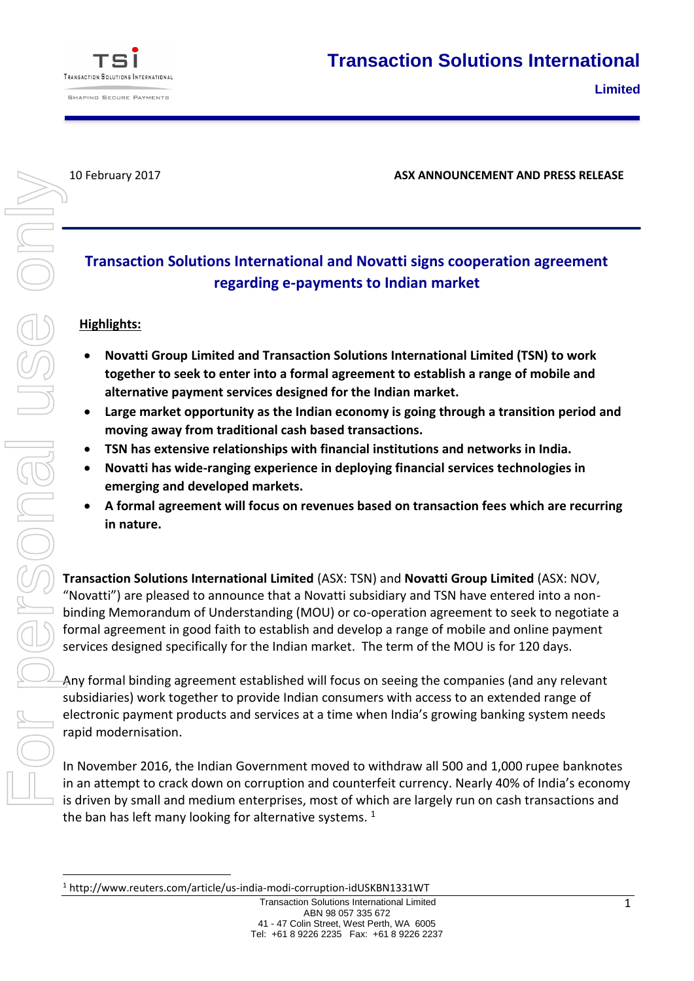

1

10 February 2017 **ASX ANNOUNCEMENT AND PRESS RELEASE**

# **Transaction Solutions International and Novatti signs cooperation agreement regarding e-payments to Indian market**

## **Highlights:**

- **Novatti Group Limited and Transaction Solutions International Limited (TSN) to work together to seek to enter into a formal agreement to establish a range of mobile and alternative payment services designed for the Indian market.**
- **Large market opportunity as the Indian economy is going through a transition period and moving away from traditional cash based transactions.**
- **TSN has extensive relationships with financial institutions and networks in India.**
- **Novatti has wide-ranging experience in deploying financial services technologies in emerging and developed markets.**
- **A formal agreement will focus on revenues based on transaction fees which are recurring in nature.**

**Transaction Solutions International Limited** (ASX: TSN) and **Novatti Group Limited** (ASX: NOV, "Novatti") are pleased to announce that a Novatti subsidiary and TSN have entered into a nonbinding Memorandum of Understanding (MOU) or co-operation agreement to seek to negotiate a formal agreement in good faith to establish and develop a range of mobile and online payment services designed specifically for the Indian market. The term of the MOU is for 120 days.

Any formal binding agreement established will focus on seeing the companies (and any relevant subsidiaries) work together to provide Indian consumers with access to an extended range of electronic payment products and services at a time when India's growing banking system needs rapid modernisation.

In November 2016, the Indian Government moved to withdraw all 500 and 1,000 rupee banknotes in an attempt to crack down on corruption and counterfeit currency. Nearly 40% of India's economy is driven by small and medium enterprises, most of which are largely run on cash transactions and the ban has left many looking for alternative systems.  $1$ 

<sup>1</sup> http://www.reuters.com/article/us-india-modi-corruption-idUSKBN1331WT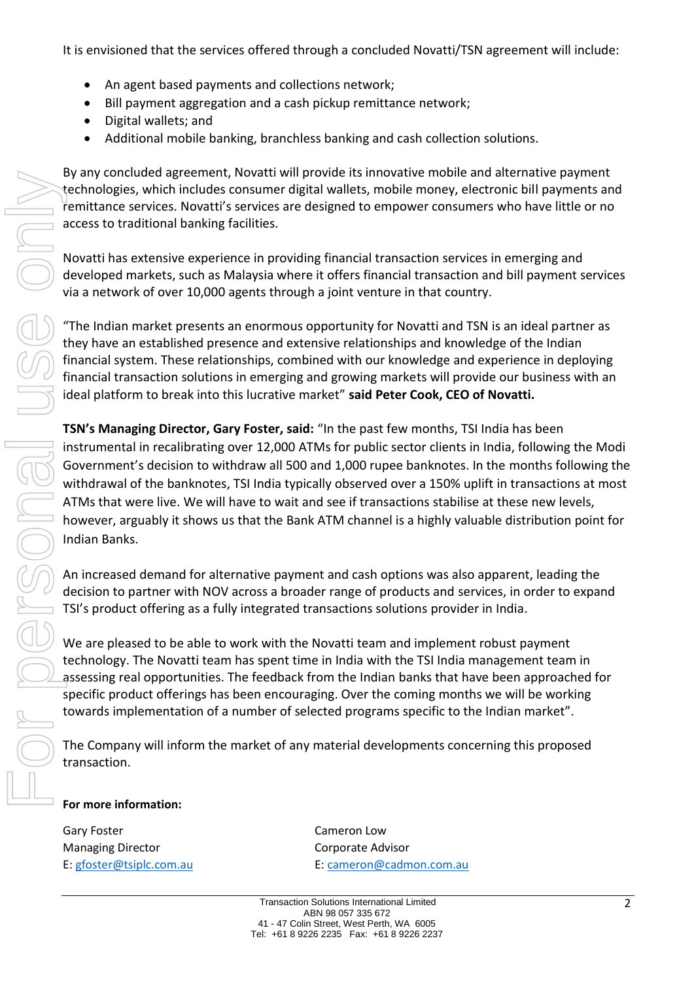It is envisioned that the services offered through a concluded Novatti/TSN agreement will include:

- An agent based payments and collections network;
- Bill payment aggregation and a cash pickup remittance network;
- Digital wallets; and
- Additional mobile banking, branchless banking and cash collection solutions.

By any concluded agreement, Novatti will provide its innovative mobile and alternative payment technologies, which includes consumer digital wallets, mobile money, electronic bill payments and remittance services. Novatti's services are designed to empower consumers who have little or no access to traditional banking facilities.

Novatti has extensive experience in providing financial transaction services in emerging and developed markets, such as Malaysia where it offers financial transaction and bill payment services via a network of over 10,000 agents through a joint venture in that country.

"The Indian market presents an enormous opportunity for Novatti and TSN is an ideal partner as they have an established presence and extensive relationships and knowledge of the Indian financial system. These relationships, combined with our knowledge and experience in deploying financial transaction solutions in emerging and growing markets will provide our business with an ideal platform to break into this lucrative market" **said Peter Cook, CEO of Novatti.**

**TSN's Managing Director, Gary Foster, said:** "In the past few months, TSI India has been instrumental in recalibrating over 12,000 ATMs for public sector clients in India, following the Modi Government's decision to withdraw all 500 and 1,000 rupee banknotes. In the months following the withdrawal of the banknotes, TSI India typically observed over a 150% uplift in transactions at most ATMs that were live. We will have to wait and see if transactions stabilise at these new levels, however, arguably it shows us that the Bank ATM channel is a highly valuable distribution point for Indian Banks. Experient the based of the consumer digital wallotes consumer digital wallets, mobile money, exercise access to traditional banking facilities.<br>
Novatti has extensive experience in providing financial transaction server co

An increased demand for alternative payment and cash options was also apparent, leading the decision to partner with NOV across a broader range of products and services, in order to expand TSI's product offering as a fully integrated transactions solutions provider in India.

We are pleased to be able to work with the Novatti team and implement robust payment technology. The Novatti team has spent time in India with the TSI India management team in assessing real opportunities. The feedback from the Indian banks that have been approached for specific product offerings has been encouraging. Over the coming months we will be working towards implementation of a number of selected programs specific to the Indian market".

The Company will inform the market of any material developments concerning this proposed transaction.

## **For more information:**

Gary Foster **Cameron Low** Managing Director **Communists** Corporate Advisor